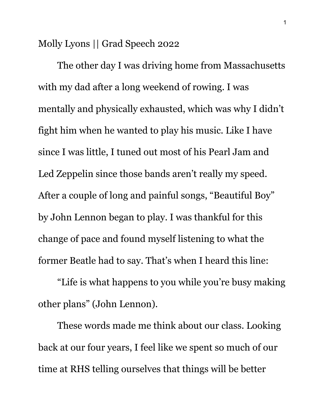Molly Lyons || Grad Speech 2022

The other day I was driving home from Massachusetts with my dad after a long weekend of rowing. I was mentally and physically exhausted, which was why I didn't fight him when he wanted to play his music. Like I have since I was little, I tuned out most of his Pearl Jam and Led Zeppelin since those bands aren't really my speed. After a couple of long and painful songs, "Beautiful Boy" by John Lennon began to play. I was thankful for this change of pace and found myself listening to what the former Beatle had to say. That's when I heard this line:

"Life is what happens to you while you're busy making other plans" (John Lennon).

These words made me think about our class. Looking back at our four years, I feel like we spent so much of our time at RHS telling ourselves that things will be better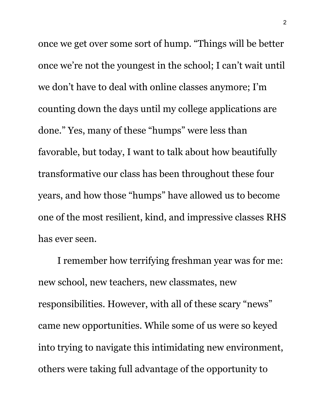once we get over some sort of hump. "Things will be better once we're not the youngest in the school; I can't wait until we don't have to deal with online classes anymore; I'm counting down the days until my college applications are done." Yes, many of these "humps" were less than favorable, but today, I want to talk about how beautifully transformative our class has been throughout these four years, and how those "humps" have allowed us to become one of the most resilient, kind, and impressive classes RHS has ever seen.

I remember how terrifying freshman year was for me: new school, new teachers, new classmates, new responsibilities. However, with all of these scary "news" came new opportunities. While some of us were so keyed into trying to navigate this intimidating new environment, others were taking full advantage of the opportunity to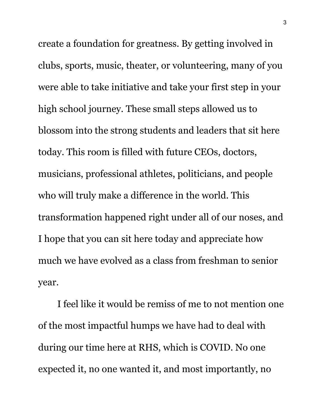create a foundation for greatness. By getting involved in clubs, sports, music, theater, or volunteering, many of you were able to take initiative and take your first step in your high school journey. These small steps allowed us to blossom into the strong students and leaders that sit here today. This room is filled with future CEOs, doctors, musicians, professional athletes, politicians, and people who will truly make a difference in the world. This transformation happened right under all of our noses, and I hope that you can sit here today and appreciate how much we have evolved as a class from freshman to senior year.

I feel like it would be remiss of me to not mention one of the most impactful humps we have had to deal with during our time here at RHS, which is COVID. No one expected it, no one wanted it, and most importantly, no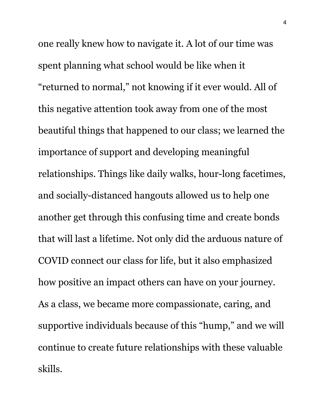one really knew how to navigate it. A lot of our time was spent planning what school would be like when it "returned to normal," not knowing if it ever would. All of this negative attention took away from one of the most beautiful things that happened to our class; we learned the importance of support and developing meaningful relationships. Things like daily walks, hour-long facetimes, and socially-distanced hangouts allowed us to help one another get through this confusing time and create bonds that will last a lifetime. Not only did the arduous nature of COVID connect our class for life, but it also emphasized how positive an impact others can have on your journey. As a class, we became more compassionate, caring, and supportive individuals because of this "hump," and we will continue to create future relationships with these valuable skills.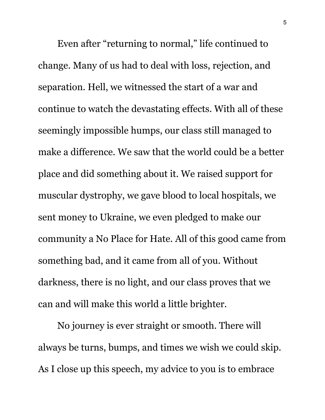Even after "returning to normal," life continued to change. Many of us had to deal with loss, rejection, and separation. Hell, we witnessed the start of a war and continue to watch the devastating effects. With all of these seemingly impossible humps, our class still managed to make a difference. We saw that the world could be a better place and did something about it. We raised support for muscular dystrophy, we gave blood to local hospitals, we sent money to Ukraine, we even pledged to make our community a No Place for Hate. All of this good came from something bad, and it came from all of you. Without darkness, there is no light, and our class proves that we can and will make this world a little brighter.

No journey is ever straight or smooth. There will always be turns, bumps, and times we wish we could skip. As I close up this speech, my advice to you is to embrace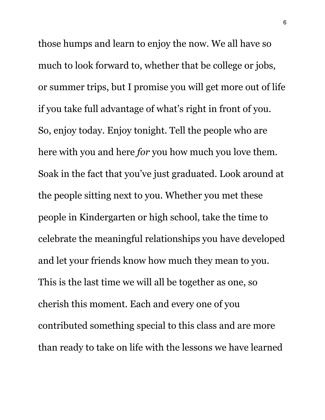those humps and learn to enjoy the now. We all have so much to look forward to, whether that be college or jobs, or summer trips, but I promise you will get more out of life if you take full advantage of what's right in front of you. So, enjoy today. Enjoy tonight. Tell the people who are here with you and here *for* you how much you love them. Soak in the fact that you've just graduated. Look around at the people sitting next to you. Whether you met these people in Kindergarten or high school, take the time to celebrate the meaningful relationships you have developed and let your friends know how much they mean to you. This is the last time we will all be together as one, so cherish this moment. Each and every one of you contributed something special to this class and are more than ready to take on life with the lessons we have learned